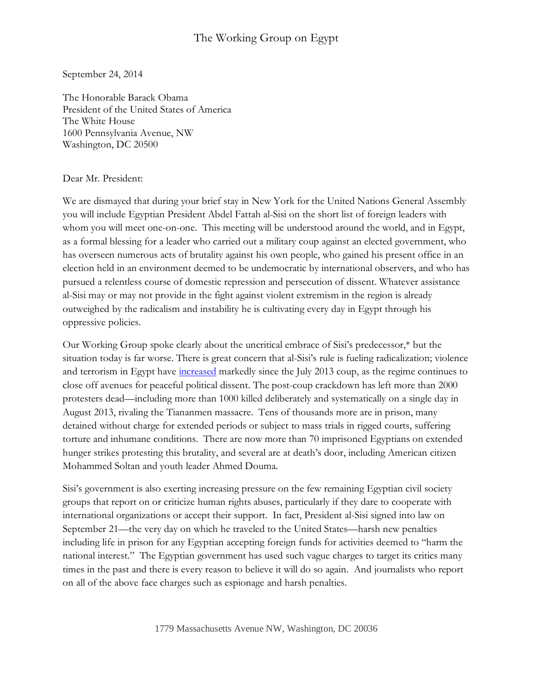## The Working Group on Egypt

September 24, 2014

The Honorable Barack Obama President of the United States of America The White House 1600 Pennsylvania Avenue, NW Washington, DC 20500

## Dear Mr. President:

We are dismayed that during your brief stay in New York for the United Nations General Assembly you will include Egyptian President Abdel Fattah al-Sisi on the short list of foreign leaders with whom you will meet one-on-one. This meeting will be understood around the world, and in Egypt, as a formal blessing for a leader who carried out a military coup against an elected government, who has overseen numerous acts of brutality against his own people, who gained his present office in an election held in an environment deemed to be undemocratic by international observers, and who has pursued a relentless course of domestic repression and persecution of dissent. Whatever assistance al-Sisi may or may not provide in the fight against violent extremism in the region is already outweighed by the radicalism and instability he is cultivating every day in Egypt through his oppressive policies.

Our Working Group spoke clearly about the uncritical embrace of Sisi's predecessor,\* but the situation today is far worse. There is great concern that al-Sisi's rule is fueling radicalization; violence and terrorism in Egypt have [increased](http://carnegieendowment.org/2014/03/24/egypt-s-unprecedented-instability-by-numbers/h5j3) markedly since the July 2013 coup, as the regime continues to close off avenues for peaceful political dissent. The post-coup crackdown has left more than 2000 protesters dead—including more than 1000 killed deliberately and systematically on a single day in August 2013, rivaling the Tiananmen massacre. Tens of thousands more are in prison, many detained without charge for extended periods or subject to mass trials in rigged courts, suffering torture and inhumane conditions. There are now more than 70 imprisoned Egyptians on extended hunger strikes protesting this brutality, and several are at death's door, including American citizen Mohammed Soltan and youth leader Ahmed Douma.

Sisi's government is also exerting increasing pressure on the few remaining Egyptian civil society groups that report on or criticize human rights abuses, particularly if they dare to cooperate with international organizations or accept their support. In fact, President al-Sisi signed into law on September 21—the very day on which he traveled to the United States—harsh new penalties including life in prison for any Egyptian accepting foreign funds for activities deemed to "harm the national interest." The Egyptian government has used such vague charges to target its critics many times in the past and there is every reason to believe it will do so again. And journalists who report on all of the above face charges such as espionage and harsh penalties.